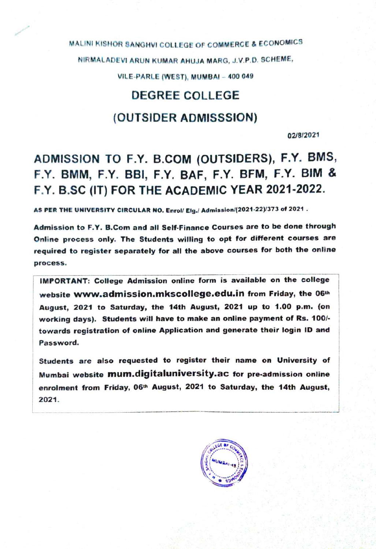# MALINI KISHOR SANGHVI COLLEGE OF COMMERCE&ECONOMICS NIRMALADEVI ARUN KUMAR AHUJA MARG, J.V.P.D. SCHEME, VILE-PARLE (WEST), MUMBAI- 400 049

## DEGREE COLLEGGE

### (OUTSIDER ADMISSSION)

02/8/2021

## ADMISSION TO F.Y. B.COM (OUTSIDERS), F.Y. BMS, F.Y. BMM, F.Y. BBI, F.Y. BAF, F.Y. BFM, F.Y. BIM & F.Y. B.SC (IT) FOR THE ACADEMIC YEAR 2021-2022.

AS PER THE UNIVERSITY CIRCULAR NO. Enrol/ Elg./ Admission/(2021-22)/373 of 2021.

Admission to F.Y. B.Com and all Self-Finance Courses are to be done through Online process only. The Students willing to opt for different courses are required to register separately for all the above courses for both the online process.

IMPORTANT: College Admission online form is available on the college website www.admission.mkscollege.edu.in from Friday, the 06th August, 2021 to Saturday, the 14th August, 2021 up to 1.00 p.m. (on working days). Students will have to make an online payment of Rs. 100 towards registration of online Application and generate their login ID and Password.

Students are also requested to register their name on University of Mumbai website mum.digitaluniversity.ac for pre-admission online enrolment from Friday, 06th August, 2021 to Saturday, the 14th August, 2021.

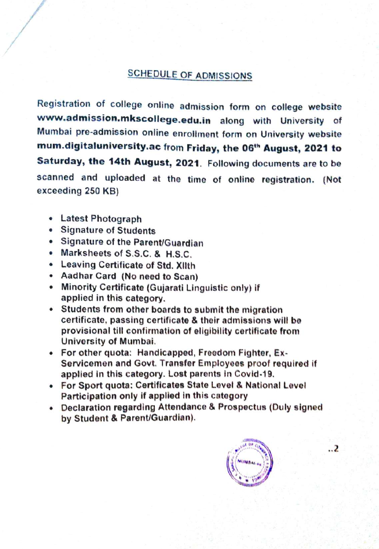## SCHEDULE OF ADMISSIONS

Registration of college online admission form on college website www.admission.mkscollege.edu.in along with University of Mumbai pre-admission online enrollment form on University website mum.digitaluniversity.ac from Friday, the 06<sup>th</sup> August, 2021 to Saturday, the 14th August, 2021. Following documents are to be scanned and uploaded at the time of online registration. (Not exceeding 250 KB)

- Latest Photograph
- Signature of Students
- Signature of the Parent/Guardian
- Marksheets of S.S.C. & H.S.C.
- Leaving Certificate of Std. Xilth
- Aadhar Card (No need to Scan)
- Minority Certificate (Gujarati Linguistic only) if applied in this category.
- Students from other boards to submit the migration certificate, passing certificate & their admissions will be provisional till contfirmation of eligibility certificate from University of Mumbai.
- For other quota: Handicapped, Freedom Fighter, Ex-Servicemen and Govt. Transfer Employees proof required if applied in this category. Lost parents in Covid-19.
- For Sport quota: Certificates State Level & National Levol Participation only if applied in this category
- Declaration regarding Attendance& Prospectus (Duly signed by Student & Parent/Guardian).



.2